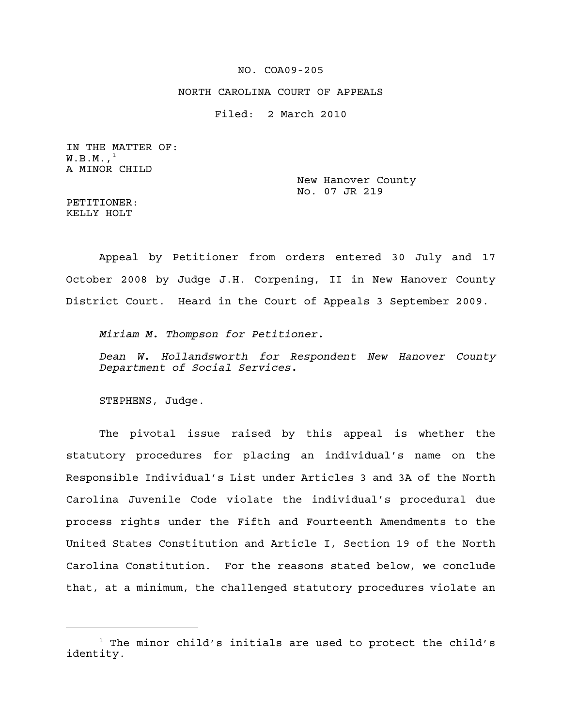#### NO. COA09-205

### NORTH CAROLINA COURT OF APPEALS

Filed: 2 March 2010

IN THE MATTER OF:  $W.B.M.,<sup>1</sup>$ A MINOR CHILD

> New Hanover County No. 07 JR 219

PETITIONER: KELLY HOLT

Appeal by Petitioner from orders entered 30 July and 17 October 2008 by Judge J.H. Corpening, II in New Hanover County District Court. Heard in the Court of Appeals 3 September 2009.

*Miriam M. Thompson for Petitioner.*

*Dean W. Hollandsworth for Respondent New Hanover County Department of Social Services.*

STEPHENS, Judge.

The pivotal issue raised by this appeal is whether the statutory procedures for placing an individual's name on the Responsible Individual's List under Articles 3 and 3A of the North Carolina Juvenile Code violate the individual's procedural due process rights under the Fifth and Fourteenth Amendments to the United States Constitution and Article I, Section 19 of the North Carolina Constitution. For the reasons stated below, we conclude that, at a minimum, the challenged statutory procedures violate an

 $1$  The minor child's initials are used to protect the child's identity.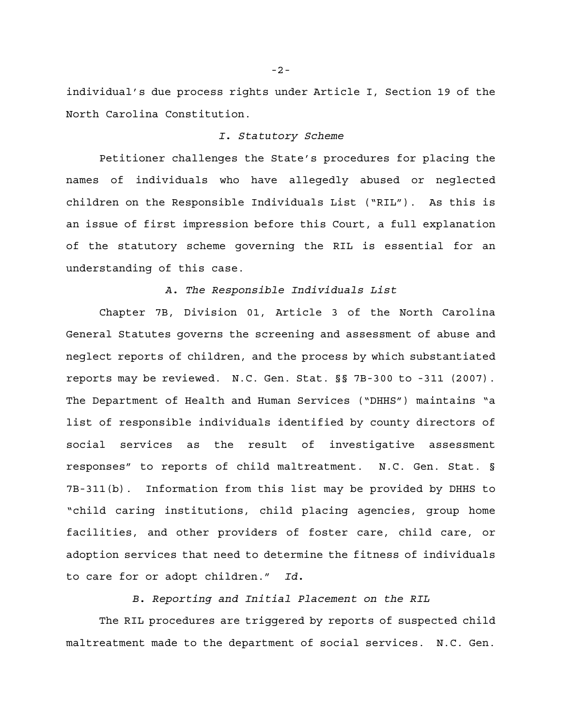individual's due process rights under Article I, Section 19 of the North Carolina Constitution.

## *I. Statutory Scheme*

Petitioner challenges the State's procedures for placing the names of individuals who have allegedly abused or neglected children on the Responsible Individuals List ("RIL"). As this is an issue of first impression before this Court, a full explanation of the statutory scheme governing the RIL is essential for an understanding of this case.

### *A. The Responsible Individuals List*

Chapter 7B, Division 01, Article 3 of the North Carolina General Statutes governs the screening and assessment of abuse and neglect reports of children, and the process by which substantiated reports may be reviewed. N.C. Gen. Stat. §§ 7B-300 to -311 (2007). The Department of Health and Human Services ("DHHS") maintains "a list of responsible individuals identified by county directors of social services as the result of investigative assessment responses" to reports of child maltreatment. N.C. Gen. Stat. § 7B-311(b). Information from this list may be provided by DHHS to "child caring institutions, child placing agencies, group home facilities, and other providers of foster care, child care, or adoption services that need to determine the fitness of individuals to care for or adopt children." *Id.*

*B. Reporting and Initial Placement on the RIL*

The RIL procedures are triggered by reports of suspected child maltreatment made to the department of social services. N.C. Gen.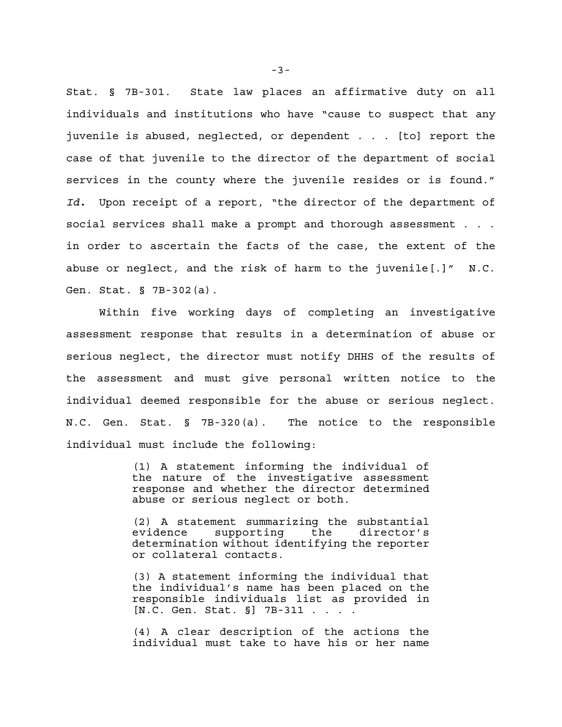Stat. § 7B-301. State law places an affirmative duty on all individuals and institutions who have "cause to suspect that any juvenile is abused, neglected, or dependent . . . [to] report the case of that juvenile to the director of the department of social services in the county where the juvenile resides or is found." *Id.* Upon receipt of a report, "the director of the department of social services shall make a prompt and thorough assessment . . . in order to ascertain the facts of the case, the extent of the abuse or neglect, and the risk of harm to the juvenile[.]" N.C. Gen. Stat. § 7B-302(a).

Within five working days of completing an investigative assessment response that results in a determination of abuse or serious neglect, the director must notify DHHS of the results of the assessment and must give personal written notice to the individual deemed responsible for the abuse or serious neglect. N.C. Gen. Stat. § 7B-320(a). The notice to the responsible individual must include the following:

> (1) A statement informing the individual of the nature of the investigative assessment response and whether the director determined abuse or serious neglect or both.

> (2) A statement summarizing the substantial evidence supporting the director's determination without identifying the reporter or collateral contacts.

> (3) A statement informing the individual that the individual's name has been placed on the responsible individuals list as provided in [N.C. Gen. Stat. §] 7B-311 . . . .

> (4) A clear description of the actions the individual must take to have his or her name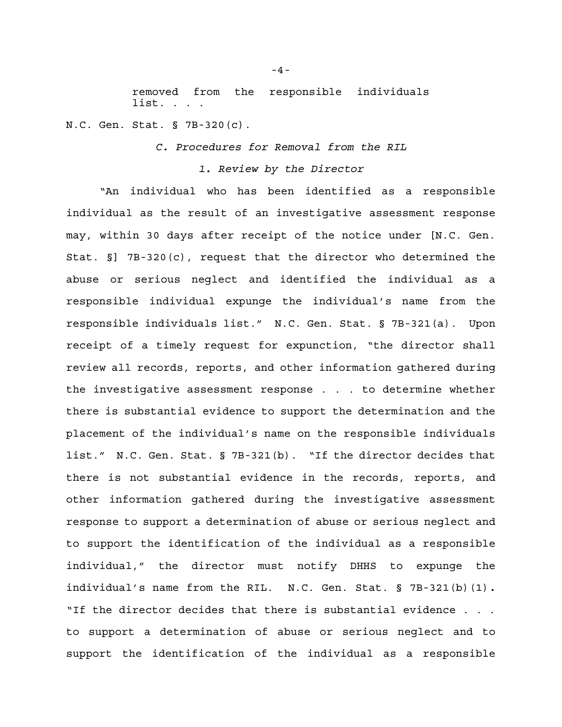removed from the responsible individuals list. . . .

N.C. Gen. Stat. § 7B-320(c).

*C. Procedures for Removal from the RIL*

### *1. Review by the Director*

"An individual who has been identified as a responsible individual as the result of an investigative assessment response may, within 30 days after receipt of the notice under [N.C. Gen. Stat. §] 7B-320(c), request that the director who determined the abuse or serious neglect and identified the individual as a responsible individual expunge the individual's name from the responsible individuals list." N.C. Gen. Stat. § 7B-321(a). Upon receipt of a timely request for expunction, "the director shall review all records, reports, and other information gathered during the investigative assessment response . . . to determine whether there is substantial evidence to support the determination and the placement of the individual's name on the responsible individuals list." N.C. Gen. Stat. § 7B-321(b). "If the director decides that there is not substantial evidence in the records, reports, and other information gathered during the investigative assessment response to support a determination of abuse or serious neglect and to support the identification of the individual as a responsible individual," the director must notify DHHS to expunge the individual's name from the RIL. N.C. Gen. Stat. § 7B-321(b)(1)*.* "If the director decides that there is substantial evidence . . . to support a determination of abuse or serious neglect and to support the identification of the individual as a responsible

-4-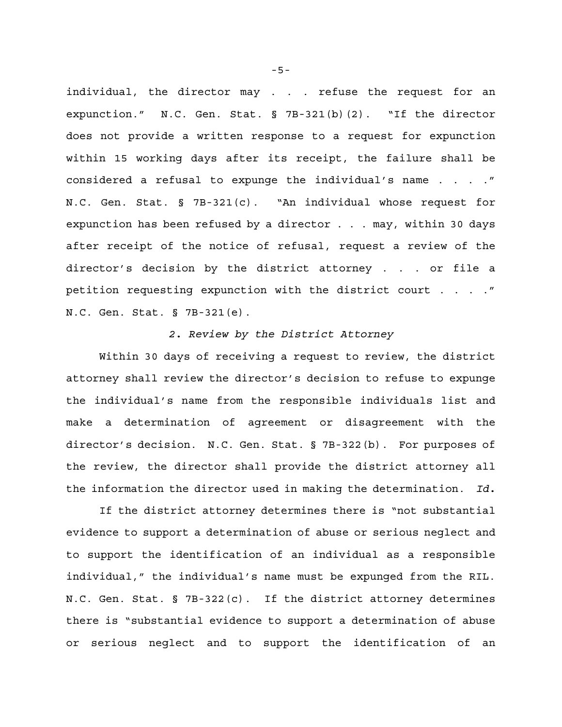individual, the director may . . . refuse the request for an expunction." N.C. Gen. Stat. § 7B-321(b)(2). "If the director does not provide a written response to a request for expunction within 15 working days after its receipt, the failure shall be considered a refusal to expunge the individual's name . . . ." N.C. Gen. Stat. § 7B-321(c). "An individual whose request for expunction has been refused by a director . . . may, within 30 days after receipt of the notice of refusal, request a review of the director's decision by the district attorney . . . or file a petition requesting expunction with the district court . . . ." N.C. Gen. Stat. § 7B-321(e).

### *2. Review by the District Attorney*

Within 30 days of receiving a request to review, the district attorney shall review the director's decision to refuse to expunge the individual's name from the responsible individuals list and make a determination of agreement or disagreement with the director's decision. N.C. Gen. Stat. § 7B-322(b). For purposes of the review, the director shall provide the district attorney all the information the director used in making the determination. *Id.*

If the district attorney determines there is "not substantial evidence to support a determination of abuse or serious neglect and to support the identification of an individual as a responsible individual," the individual's name must be expunged from the RIL. N.C. Gen. Stat. § 7B-322(c). If the district attorney determines there is "substantial evidence to support a determination of abuse or serious neglect and to support the identification of an

-5-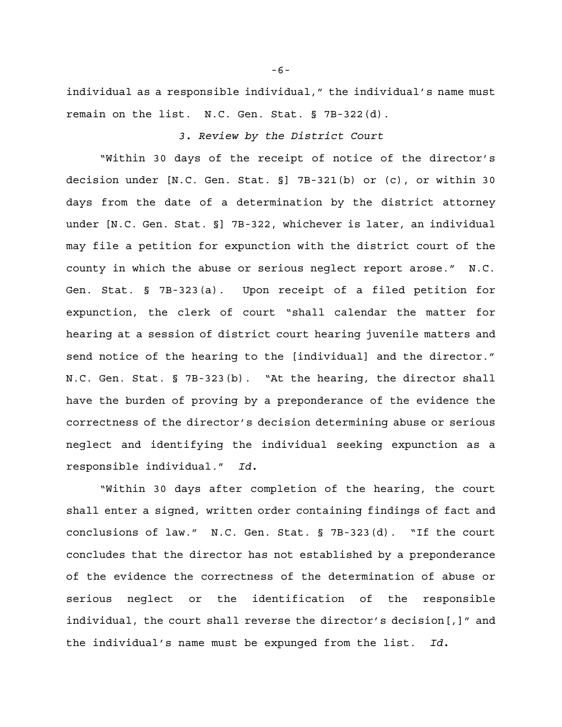individual as a responsible individual," the individual's name must remain on the list. N.C. Gen. Stat. § 7B-322(d).

# *3. Review by the District Court*

"Within 30 days of the receipt of notice of the director's decision under [N.C. Gen. Stat. §] 7B-321(b) or (c), or within 30 days from the date of a determination by the district attorney under [N.C. Gen. Stat. §] 7B-322, whichever is later, an individual may file a petition for expunction with the district court of the county in which the abuse or serious neglect report arose." N.C. Gen. Stat. § 7B-323(a). Upon receipt of a filed petition for expunction, the clerk of court "shall calendar the matter for hearing at a session of district court hearing juvenile matters and send notice of the hearing to the [individual] and the director." N.C. Gen. Stat. § 7B-323(b). "At the hearing, the director shall have the burden of proving by a preponderance of the evidence the correctness of the director's decision determining abuse or serious neglect and identifying the individual seeking expunction as a responsible individual." *Id.*

"Within 30 days after completion of the hearing, the court shall enter a signed, written order containing findings of fact and conclusions of law." N.C. Gen. Stat. § 7B-323(d). "If the court concludes that the director has not established by a preponderance of the evidence the correctness of the determination of abuse or serious neglect or the identification of the responsible individual, the court shall reverse the director's decision[,]" and the individual's name must be expunged from the list. *Id.*

-6-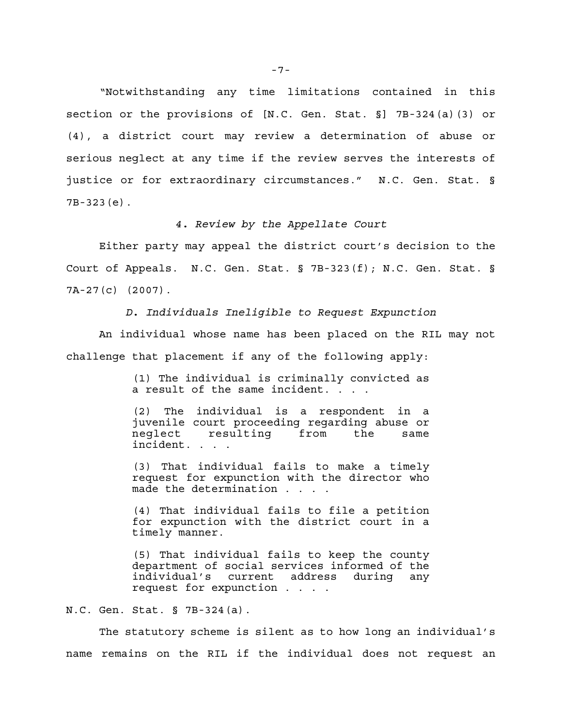"Notwithstanding any time limitations contained in this section or the provisions of [N.C. Gen. Stat. §] 7B-324(a)(3) or (4), a district court may review a determination of abuse or serious neglect at any time if the review serves the interests of justice or for extraordinary circumstances." N.C. Gen. Stat. § 7B-323(e).

*4. Review by the Appellate Court*

Either party may appeal the district court's decision to the Court of Appeals. N.C. Gen. Stat. § 7B-323(f); N.C. Gen. Stat. § 7A-27(c) (2007).

*D. Individuals Ineligible to Request Expunction*

An individual whose name has been placed on the RIL may not challenge that placement if any of the following apply:

> (1) The individual is criminally convicted as a result of the same incident.  $\overline{\cdot}$  ...

> (2) The individual is a respondent in a juvenile court proceeding regarding abuse or neglect resulting from the same incident. . . .

> (3) That individual fails to make a timely request for expunction with the director who made the determination . . . .

> (4) That individual fails to file a petition for expunction with the district court in a timely manner.

> (5) That individual fails to keep the county department of social services informed of the individual's current address during any request for expunction . . . .

N.C. Gen. Stat. § 7B-324(a).

The statutory scheme is silent as to how long an individual's name remains on the RIL if the individual does not request an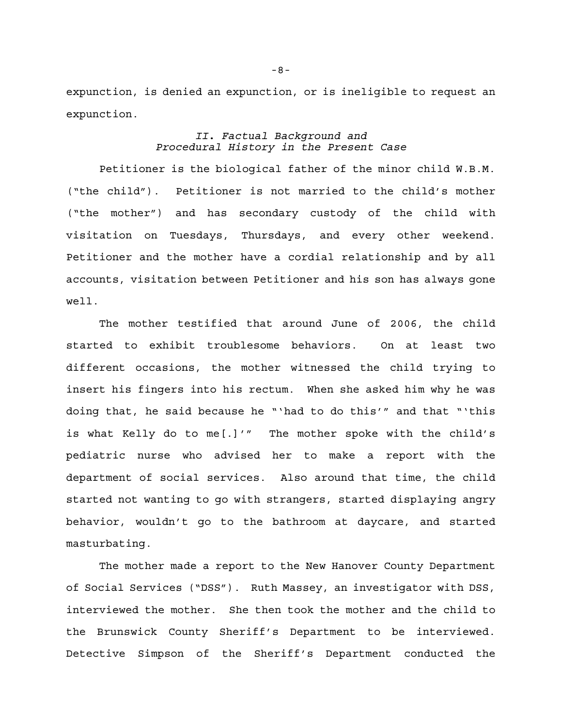expunction, is denied an expunction, or is ineligible to request an expunction.

## *II. Factual Background and Procedural History in the Present Case*

Petitioner is the biological father of the minor child W.B.M. ("the child"). Petitioner is not married to the child's mother ("the mother") and has secondary custody of the child with visitation on Tuesdays, Thursdays, and every other weekend. Petitioner and the mother have a cordial relationship and by all accounts, visitation between Petitioner and his son has always gone well.

The mother testified that around June of 2006, the child started to exhibit troublesome behaviors. On at least two different occasions, the mother witnessed the child trying to insert his fingers into his rectum. When she asked him why he was doing that, he said because he "'had to do this'" and that "'this is what Kelly do to me[.]'" The mother spoke with the child's pediatric nurse who advised her to make a report with the department of social services. Also around that time, the child started not wanting to go with strangers, started displaying angry behavior, wouldn't go to the bathroom at daycare, and started masturbating.

The mother made a report to the New Hanover County Department of Social Services ("DSS"). Ruth Massey, an investigator with DSS, interviewed the mother. She then took the mother and the child to the Brunswick County Sheriff's Department to be interviewed. Detective Simpson of the Sheriff's Department conducted the

-8-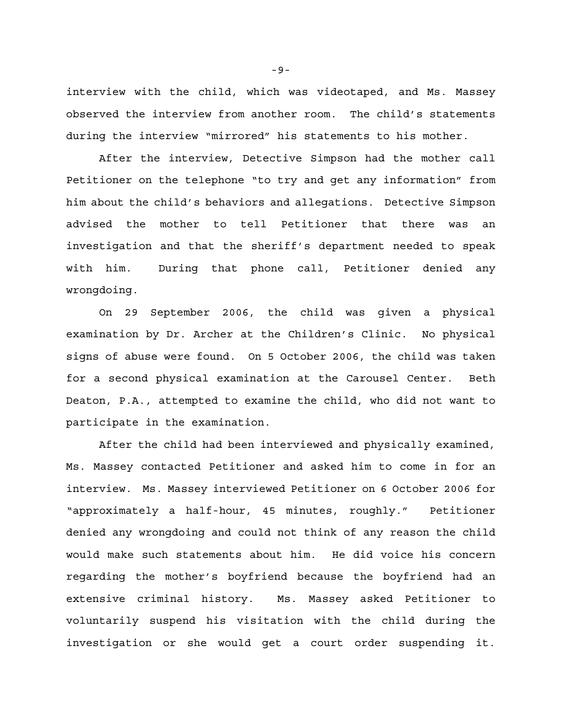interview with the child, which was videotaped, and Ms. Massey observed the interview from another room. The child's statements during the interview "mirrored" his statements to his mother.

After the interview, Detective Simpson had the mother call Petitioner on the telephone "to try and get any information" from him about the child's behaviors and allegations. Detective Simpson advised the mother to tell Petitioner that there was an investigation and that the sheriff's department needed to speak with him. During that phone call, Petitioner denied any wrongdoing.

On 29 September 2006, the child was given a physical examination by Dr. Archer at the Children's Clinic. No physical signs of abuse were found. On 5 October 2006, the child was taken for a second physical examination at the Carousel Center. Beth Deaton, P.A., attempted to examine the child, who did not want to participate in the examination.

After the child had been interviewed and physically examined, Ms. Massey contacted Petitioner and asked him to come in for an interview. Ms. Massey interviewed Petitioner on 6 October 2006 for "approximately a half-hour, 45 minutes, roughly." Petitioner denied any wrongdoing and could not think of any reason the child would make such statements about him. He did voice his concern regarding the mother's boyfriend because the boyfriend had an extensive criminal history. Ms. Massey asked Petitioner to voluntarily suspend his visitation with the child during the investigation or she would get a court order suspending it.

-9-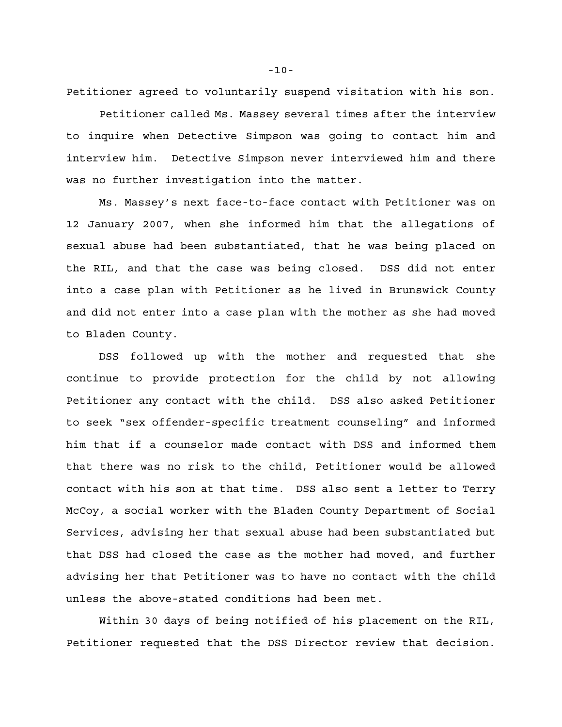Petitioner agreed to voluntarily suspend visitation with his son.

Petitioner called Ms. Massey several times after the interview to inquire when Detective Simpson was going to contact him and interview him. Detective Simpson never interviewed him and there was no further investigation into the matter.

Ms. Massey's next face-to-face contact with Petitioner was on 12 January 2007, when she informed him that the allegations of sexual abuse had been substantiated, that he was being placed on the RIL, and that the case was being closed. DSS did not enter into a case plan with Petitioner as he lived in Brunswick County and did not enter into a case plan with the mother as she had moved to Bladen County.

DSS followed up with the mother and requested that she continue to provide protection for the child by not allowing Petitioner any contact with the child. DSS also asked Petitioner to seek "sex offender-specific treatment counseling" and informed him that if a counselor made contact with DSS and informed them that there was no risk to the child, Petitioner would be allowed contact with his son at that time. DSS also sent a letter to Terry McCoy, a social worker with the Bladen County Department of Social Services, advising her that sexual abuse had been substantiated but that DSS had closed the case as the mother had moved, and further advising her that Petitioner was to have no contact with the child unless the above-stated conditions had been met.

Within 30 days of being notified of his placement on the RIL, Petitioner requested that the DSS Director review that decision.

-10-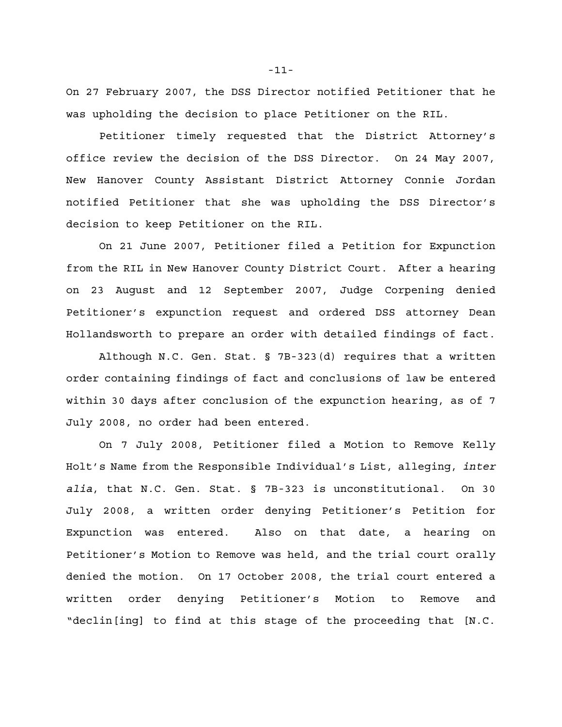On 27 February 2007, the DSS Director notified Petitioner that he was upholding the decision to place Petitioner on the RIL.

Petitioner timely requested that the District Attorney's office review the decision of the DSS Director. On 24 May 2007, New Hanover County Assistant District Attorney Connie Jordan notified Petitioner that she was upholding the DSS Director's decision to keep Petitioner on the RIL.

On 21 June 2007, Petitioner filed a Petition for Expunction from the RIL in New Hanover County District Court. After a hearing on 23 August and 12 September 2007, Judge Corpening denied Petitioner's expunction request and ordered DSS attorney Dean Hollandsworth to prepare an order with detailed findings of fact.

Although N.C. Gen. Stat. § 7B-323(d) requires that a written order containing findings of fact and conclusions of law be entered within 30 days after conclusion of the expunction hearing, as of 7 July 2008, no order had been entered.

On 7 July 2008, Petitioner filed a Motion to Remove Kelly Holt's Name from the Responsible Individual's List, alleging, *inter alia*, that N.C. Gen. Stat. § 7B-323 is unconstitutional. On 30 July 2008, a written order denying Petitioner's Petition for Expunction was entered. Also on that date, a hearing on Petitioner's Motion to Remove was held, and the trial court orally denied the motion. On 17 October 2008, the trial court entered a written order denying Petitioner's Motion to Remove and "declin[ing] to find at this stage of the proceeding that [N.C.

-11-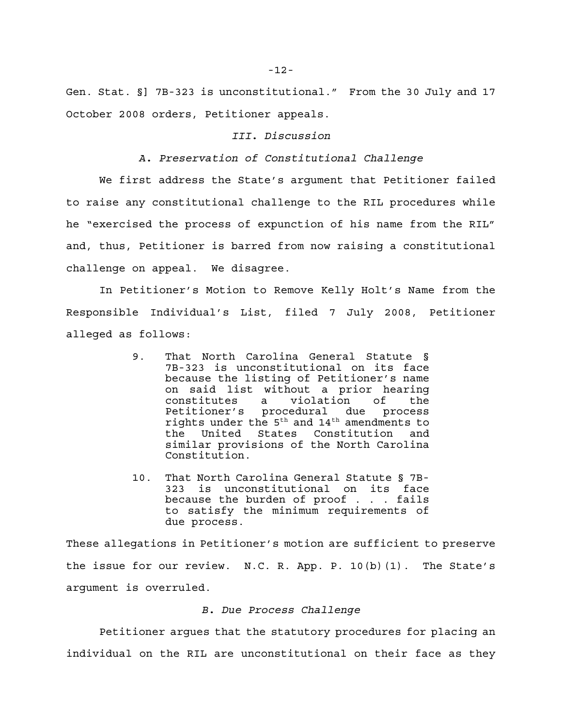Gen. Stat. §] 7B-323 is unconstitutional." From the 30 July and 17 October 2008 orders, Petitioner appeals.

### *III. Discussion*

## *A. Preservation of Constitutional Challenge*

We first address the State's argument that Petitioner failed to raise any constitutional challenge to the RIL procedures while he "exercised the process of expunction of his name from the RIL" and, thus, Petitioner is barred from now raising a constitutional challenge on appeal. We disagree.

In Petitioner's Motion to Remove Kelly Holt's Name from the Responsible Individual's List, filed 7 July 2008, Petitioner alleged as follows:

- 9. That North Carolina General Statute § 7B-323 is unconstitutional on its face because the listing of Petitioner's name on said list without a prior hearing<br>constitutes a violation of the constitutes a violation of the Petitioner's procedural due process rights under the  $5^{\text{th}}$  and  $14^{\text{th}}$  amendments to the United States Constitution and similar provisions of the North Carolina Constitution.
- 10. That North Carolina General Statute § 7B-323 is unconstitutional on its face because the burden of proof . . . fails to satisfy the minimum requirements of due process.

These allegations in Petitioner's motion are sufficient to preserve the issue for our review. N.C. R. App. P. 10(b)(1). The State's argument is overruled.

#### *B. Due Process Challenge*

Petitioner argues that the statutory procedures for placing an individual on the RIL are unconstitutional on their face as they

-12-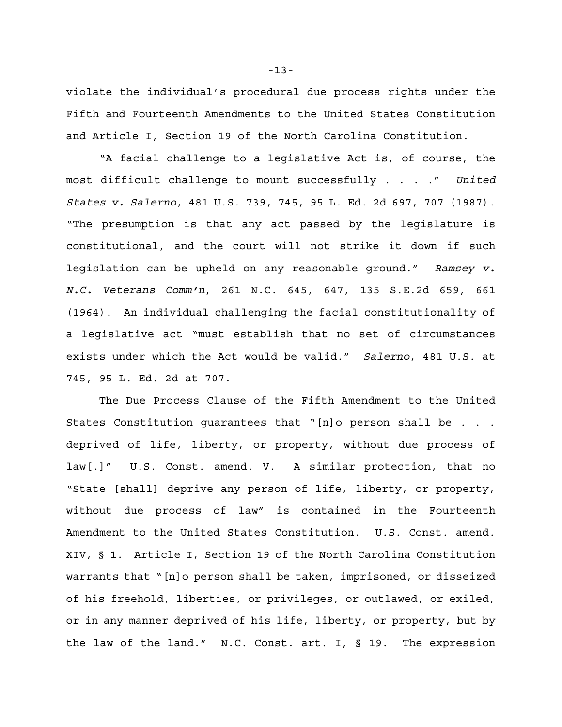violate the individual's procedural due process rights under the Fifth and Fourteenth Amendments to the United States Constitution and Article I, Section 19 of the North Carolina Constitution.

"A facial challenge to a legislative Act is, of course, the most difficult challenge to mount successfully . . . ." *United States v. Salerno*, 481 U.S. 739, 745, 95 L. Ed. 2d 697, 707 (1987). "The presumption is that any act passed by the legislature is constitutional, and the court will not strike it down if such legislation can be upheld on any reasonable ground." *Ramsey v. N.C. Veterans Comm'n*, 261 N.C. 645, 647, 135 S.E.2d 659, 661 (1964). An individual challenging the facial constitutionality of a legislative act "must establish that no set of circumstances exists under which the Act would be valid." *Salerno*, 481 U.S. at 745, 95 L. Ed. 2d at 707.

The Due Process Clause of the Fifth Amendment to the United States Constitution guarantees that "[n]o person shall be . . . deprived of life, liberty, or property, without due process of law[.]" U.S. Const. amend. V. A similar protection, that no "State [shall] deprive any person of life, liberty, or property, without due process of law" is contained in the Fourteenth Amendment to the United States Constitution. U.S. Const. amend. XIV, § 1. Article I, Section 19 of the North Carolina Constitution warrants that "[n]o person shall be taken, imprisoned, or disseized of his freehold, liberties, or privileges, or outlawed, or exiled, or in any manner deprived of his life, liberty, or property, but by the law of the land." N.C. Const. art. I, § 19. The expression

-13-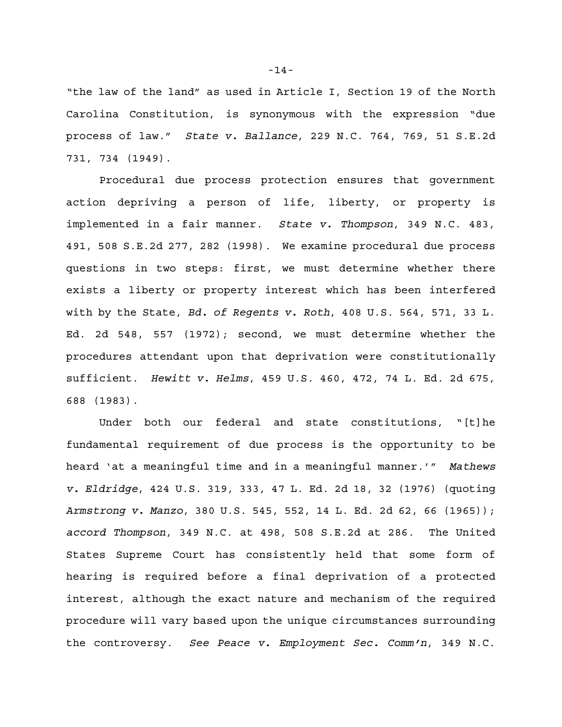"the law of the land" as used in Article I, Section 19 of the North Carolina Constitution, is synonymous with the expression "due process of law." *State v. Ballance*, 229 N.C. 764, 769, 51 S.E.2d 731, 734 (1949).

Procedural due process protection ensures that government action depriving a person of life, liberty, or property is implemented in a fair manner. *State v. Thompson*, 349 N.C. 483, 491, 508 S.E.2d 277, 282 (1998). We examine procedural due process questions in two steps: first, we must determine whether there exists a liberty or property interest which has been interfered with by the State, *Bd. of Regents v. Roth*, 408 U.S. 564, 571, 33 L. Ed. 2d 548, 557 (1972); second, we must determine whether the procedures attendant upon that deprivation were constitutionally sufficient. *Hewitt v. Helms*, 459 U.S. 460, 472, 74 L. Ed. 2d 675, 688 (1983).

Under both our federal and state constitutions, "[t]he fundamental requirement of due process is the opportunity to be heard 'at a meaningful time and in a meaningful manner.'" *Mathews v. Eldridge*, 424 U.S. 319, 333, 47 L. Ed. 2d 18, 32 (1976) (quoting *Armstrong v. Manzo*, 380 U.S. 545, 552, 14 L. Ed. 2d 62, 66 (1965)); *accord Thompson*, 349 N.C. at 498, 508 S.E.2d at 286. The United States Supreme Court has consistently held that some form of hearing is required before a final deprivation of a protected interest, although the exact nature and mechanism of the required procedure will vary based upon the unique circumstances surrounding the controversy. *See Peace v. Employment Sec. Comm'n*, 349 N.C.

-14-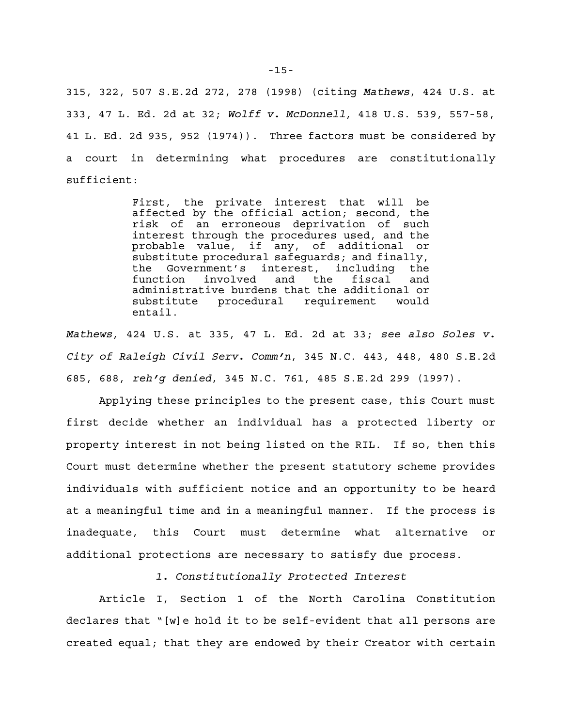315, 322, 507 S.E.2d 272, 278 (1998) (citing *Mathews*, 424 U.S. at 333, 47 L. Ed. 2d at 32; *Wolff v. McDonnell*, 418 U.S. 539, 557-58, 41 L. Ed. 2d 935, 952 (1974)). Three factors must be considered by a court in determining what procedures are constitutionally sufficient:

> First, the private interest that will be affected by the official action; second, the risk of an erroneous deprivation of such interest through the procedures used, and the probable value, if any, of additional or substitute procedural safeguards; and finally, the Government's interest, including the function involved and the fiscal and administrative burdens that the additional or substitute procedural requirement would entail.

*Mathews*, 424 U.S. at 335, 47 L. Ed. 2d at 33; *see also Soles v. City of Raleigh Civil Serv. Comm'n*, 345 N.C. 443, 448, 480 S.E.2d 685, 688, *reh'g denied*, 345 N.C. 761, 485 S.E.2d 299 (1997).

Applying these principles to the present case, this Court must first decide whether an individual has a protected liberty or property interest in not being listed on the RIL. If so, then this Court must determine whether the present statutory scheme provides individuals with sufficient notice and an opportunity to be heard at a meaningful time and in a meaningful manner. If the process is inadequate, this Court must determine what alternative or additional protections are necessary to satisfy due process.

*1. Constitutionally Protected Interest*

Article I, Section 1 of the North Carolina Constitution declares that "[w]e hold it to be self-evident that all persons are created equal; that they are endowed by their Creator with certain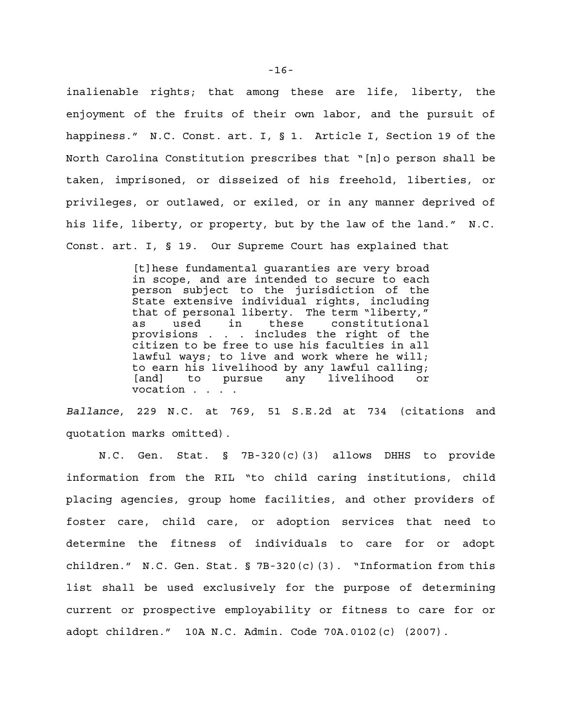inalienable rights; that among these are life, liberty, the enjoyment of the fruits of their own labor, and the pursuit of happiness." N.C. Const. art. I, § 1. Article I, Section 19 of the North Carolina Constitution prescribes that "[n]o person shall be taken, imprisoned, or disseized of his freehold, liberties, or privileges, or outlawed, or exiled, or in any manner deprived of his life, liberty, or property, but by the law of the land." N.C. Const. art. I, § 19. Our Supreme Court has explained that

> [t]hese fundamental guaranties are very broad in scope, and are intended to secure to each person subject to the jurisdiction of the State extensive individual rights, including that of personal liberty. The term "liberty," as used in these constitutional provisions . . . includes the right of the citizen to be free to use his faculties in all lawful ways; to live and work where he will; to earn his livelihood by any lawful calling;<br>[and] to pursue any livelihood or [and] to pursue any livelihood or vocation . . . .

*Ballance*, 229 N.C. at 769, 51 S.E.2d at 734 (citations and quotation marks omitted).

N.C. Gen. Stat. § 7B-320(c)(3) allows DHHS to provide information from the RIL "to child caring institutions, child placing agencies, group home facilities, and other providers of foster care, child care, or adoption services that need to determine the fitness of individuals to care for or adopt children." N.C. Gen. Stat.  $\S$  7B-320(c)(3). "Information from this list shall be used exclusively for the purpose of determining current or prospective employability or fitness to care for or adopt children." 10A N.C. Admin. Code 70A.0102(c) (2007).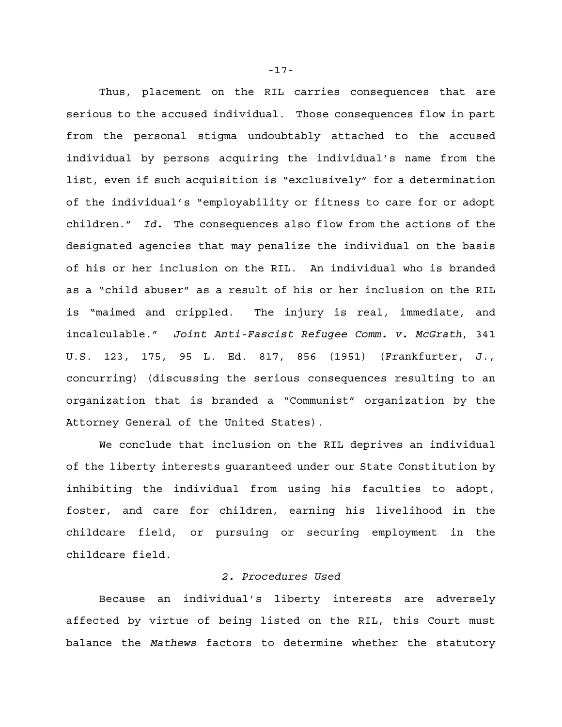Thus, placement on the RIL carries consequences that are serious to the accused individual. Those consequences flow in part from the personal stigma undoubtably attached to the accused individual by persons acquiring the individual's name from the list, even if such acquisition is "exclusively" for a determination of the individual's "employability or fitness to care for or adopt children." *Id.* The consequences also flow from the actions of the designated agencies that may penalize the individual on the basis of his or her inclusion on the RIL. An individual who is branded as a "child abuser" as a result of his or her inclusion on the RIL is "maimed and crippled. The injury is real, immediate, and incalculable." *Joint Anti-Fascist Refugee Comm. v. McGrath*, 341 U.S. 123, 175, 95 L. Ed. 817, 856 (1951) (Frankfurter, J., concurring) (discussing the serious consequences resulting to an organization that is branded a "Communist" organization by the Attorney General of the United States).

We conclude that inclusion on the RIL deprives an individual of the liberty interests guaranteed under our State Constitution by inhibiting the individual from using his faculties to adopt, foster, and care for children, earning his livelihood in the childcare field, or pursuing or securing employment in the childcare field.

### *2. Procedures Used*

Because an individual's liberty interests are adversely affected by virtue of being listed on the RIL, this Court must balance the *Mathews* factors to determine whether the statutory

-17-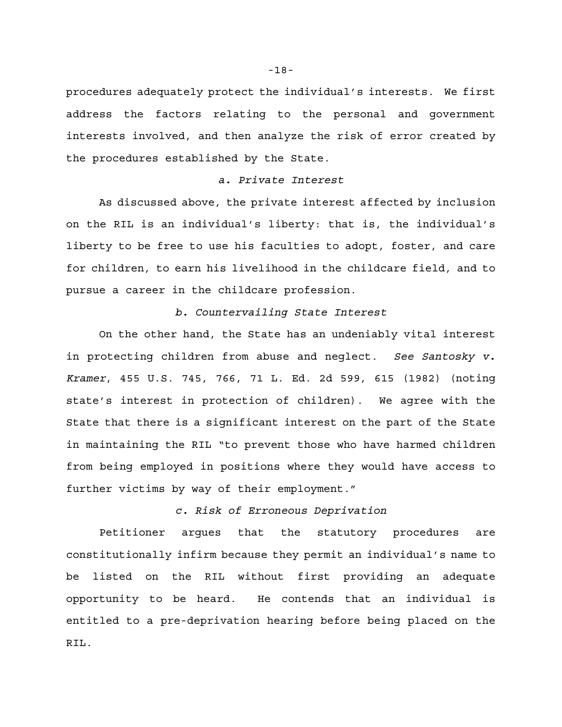procedures adequately protect the individual's interests. We first address the factors relating to the personal and government interests involved, and then analyze the risk of error created by the procedures established by the State.

### *a. Private Interest*

As discussed above, the private interest affected by inclusion on the RIL is an individual's liberty: that is, the individual's liberty to be free to use his faculties to adopt, foster, and care for children, to earn his livelihood in the childcare field, and to pursue a career in the childcare profession.

# *b. Countervailing State Interest*

On the other hand, the State has an undeniably vital interest in protecting children from abuse and neglect. *See Santosky v. Kramer*, 455 U.S. 745, 766, 71 L. Ed. 2d 599, 615 (1982) (noting state's interest in protection of children). We agree with the State that there is a significant interest on the part of the State in maintaining the RIL "to prevent those who have harmed children from being employed in positions where they would have access to further victims by way of their employment."

*c. Risk of Erroneous Deprivation*

Petitioner argues that the statutory procedures are constitutionally infirm because they permit an individual's name to be listed on the RIL without first providing an adequate opportunity to be heard. He contends that an individual is entitled to a pre-deprivation hearing before being placed on the RIL.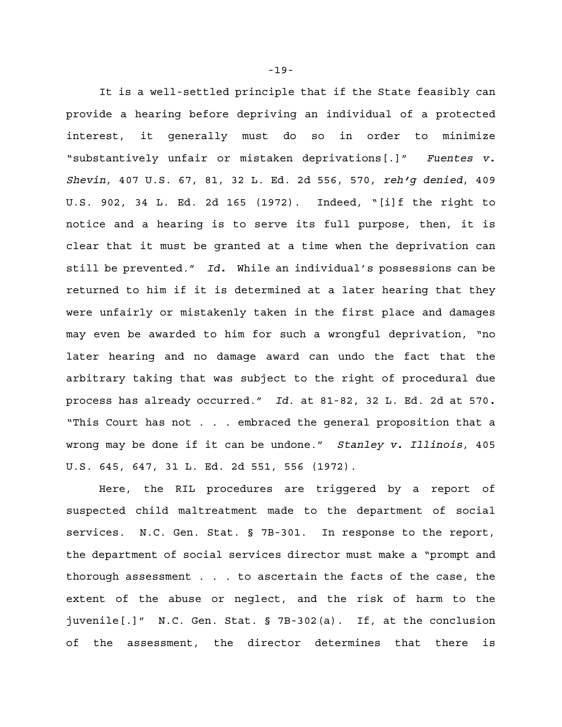It is a well-settled principle that if the State feasibly can provide a hearing before depriving an individual of a protected interest, it generally must do so in order to minimize "substantively unfair or mistaken deprivations[.]" *Fuentes v. Shevin*, 407 U.S. 67, 81, 32 L. Ed. 2d 556, 570, *reh'g denied*, 409 U.S. 902, 34 L. Ed. 2d 165 (1972). Indeed, "[i]f the right to notice and a hearing is to serve its full purpose, then, it is clear that it must be granted at a time when the deprivation can still be prevented." *Id.* While an individual's possessions can be returned to him if it is determined at a later hearing that they were unfairly or mistakenly taken in the first place and damages may even be awarded to him for such a wrongful deprivation, "no later hearing and no damage award can undo the fact that the arbitrary taking that was subject to the right of procedural due process has already occurred." *Id*. at 81-82, 32 L. Ed. 2d at 570*.* "This Court has not . . . embraced the general proposition that a wrong may be done if it can be undone." *Stanley v. Illinois*, 405 U.S. 645, 647, 31 L. Ed. 2d 551, 556 (1972).

Here, the RIL procedures are triggered by a report of suspected child maltreatment made to the department of social services. N.C. Gen. Stat. § 7B-301. In response to the report, the department of social services director must make a "prompt and thorough assessment . . . to ascertain the facts of the case, the extent of the abuse or neglect, and the risk of harm to the juvenile[.]" N.C. Gen. Stat. § 7B-302(a). If, at the conclusion of the assessment, the director determines that there is

-19-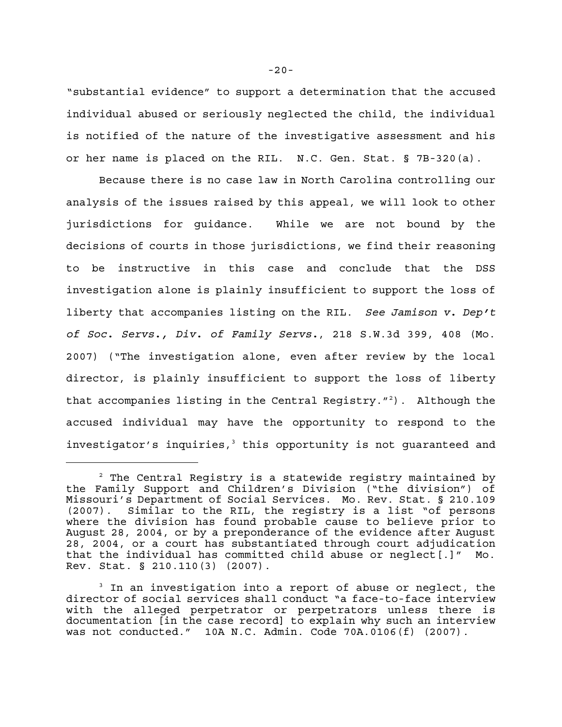"substantial evidence" to support a determination that the accused individual abused or seriously neglected the child, the individual is notified of the nature of the investigative assessment and his or her name is placed on the RIL. N.C. Gen. Stat. § 7B-320(a).

Because there is no case law in North Carolina controlling our analysis of the issues raised by this appeal, we will look to other jurisdictions for guidance. While we are not bound by the decisions of courts in those jurisdictions, we find their reasoning to be instructive in this case and conclude that the DSS investigation alone is plainly insufficient to support the loss of liberty that accompanies listing on the RIL. *See Jamison v. Dep't of Soc. Servs., Div. of Family Servs.*, 218 S.W.3d 399, 408 (Mo. 2007) ("The investigation alone, even after review by the local director, is plainly insufficient to support the loss of liberty that accompanies listing in the Central Registry."<sup>2</sup>). Although the accused individual may have the opportunity to respond to the investigator's inquiries, $3$  this opportunity is not guaranteed and

 $2$  The Central Registry is a statewide registry maintained by the Family Support and Children's Division ("the division") of Missouri's Department of Social Services. Mo. Rev. Stat. § 210.109 (2007). Similar to the RIL, the registry is a list "of persons where the division has found probable cause to believe prior to August 28, 2004, or by a preponderance of the evidence after August 28, 2004, or a court has substantiated through court adjudication that the individual has committed child abuse or neglect[.]" Mo. Rev. Stat. § 210.110(3) (2007).

 $3$  In an investigation into a report of abuse or neglect, the director of social services shall conduct "a face-to-face interview with the alleged perpetrator or perpetrators unless there is documentation [in the case record] to explain why such an interview was not conducted." 10A N.C. Admin. Code 70A.0106(f) (2007).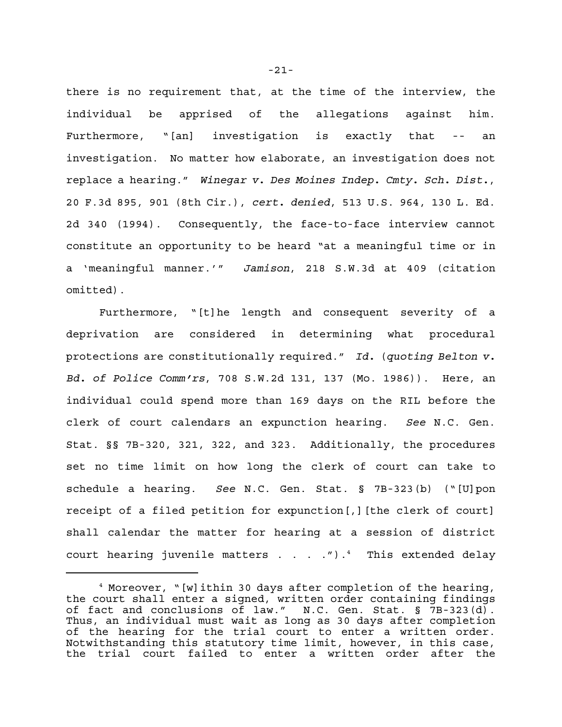there is no requirement that, at the time of the interview, the individual be apprised of the allegations against him. Furthermore, "[an] investigation is exactly that -- an investigation. No matter how elaborate, an investigation does not replace a hearing." *Winegar v. Des Moines Indep. Cmty. Sch. Dist.*, 20 F.3d 895, 901 (8th Cir.), *cert. denied*, 513 U.S. 964, 130 L. Ed. 2d 340 (1994). Consequently, the face-to-face interview cannot constitute an opportunity to be heard "at a meaningful time or in a 'meaningful manner.'" *Jamison*, 218 S.W.3d at 409 (citation omitted).

Furthermore, "[t]he length and consequent severity of a deprivation are considered in determining what procedural protections are constitutionally required." *Id.* (*quoting Belton v. Bd. of Police Comm'rs*, 708 S.W.2d 131, 137 (Mo. 1986)). Here, an individual could spend more than 169 days on the RIL before the clerk of court calendars an expunction hearing. *See* N.C. Gen. Stat. §§ 7B-320, 321, 322, and 323. Additionally, the procedures set no time limit on how long the clerk of court can take to schedule a hearing. *See* N.C. Gen. Stat. § 7B-323(b) ("[U]pon receipt of a filed petition for expunction[,][the clerk of court] shall calendar the matter for hearing at a session of district court hearing juvenile matters  $\dots$  . . . ")  $4$  This extended delay

-21-

<sup>&</sup>lt;sup>4</sup> Moreover, "[w]ithin 30 days after completion of the hearing, the court shall enter a signed, written order containing findings of fact and conclusions of law." N.C. Gen. Stat. § 7B-323(d). Thus, an individual must wait as long as 30 days after completion of the hearing for the trial court to enter a written order. Notwithstanding this statutory time limit, however, in this case, the trial court failed to enter a written order after the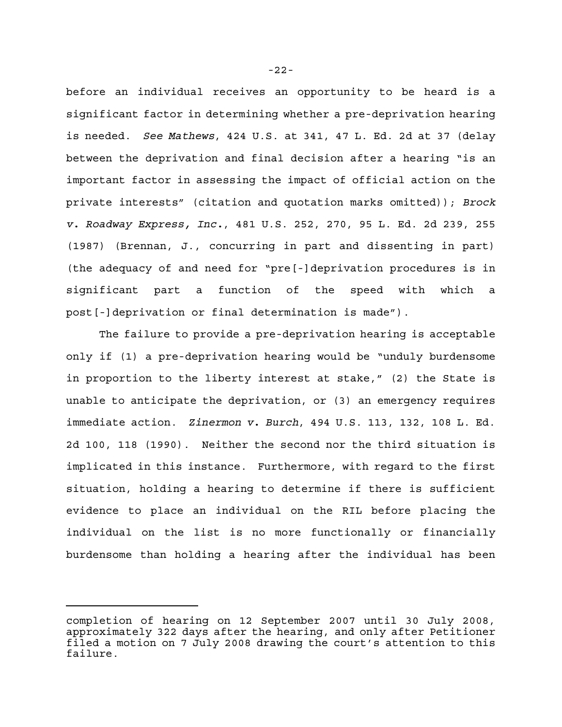before an individual receives an opportunity to be heard is a significant factor in determining whether a pre-deprivation hearing is needed. *See Mathews*, 424 U.S. at 341, 47 L. Ed. 2d at 37 (delay between the deprivation and final decision after a hearing "is an important factor in assessing the impact of official action on the private interests" (citation and quotation marks omitted)); *Brock v. Roadway Express, Inc.*, 481 U.S. 252, 270, 95 L. Ed. 2d 239, 255 (1987) (Brennan, J., concurring in part and dissenting in part) (the adequacy of and need for "pre[-]deprivation procedures is in significant part a function of the speed with which a post[-]deprivation or final determination is made").

The failure to provide a pre-deprivation hearing is acceptable only if (1) a pre-deprivation hearing would be "unduly burdensome in proportion to the liberty interest at stake," (2) the State is unable to anticipate the deprivation, or (3) an emergency requires immediate action. *Zinermon v. Burch*, 494 U.S. 113, 132, 108 L. Ed. 2d 100, 118 (1990). Neither the second nor the third situation is implicated in this instance. Furthermore, with regard to the first situation, holding a hearing to determine if there is sufficient evidence to place an individual on the RIL before placing the individual on the list is no more functionally or financially burdensome than holding a hearing after the individual has been

completion of hearing on 12 September 2007 until 30 July 2008, approximately 322 days after the hearing, and only after Petitioner filed a motion on 7 July 2008 drawing the court's attention to this failure.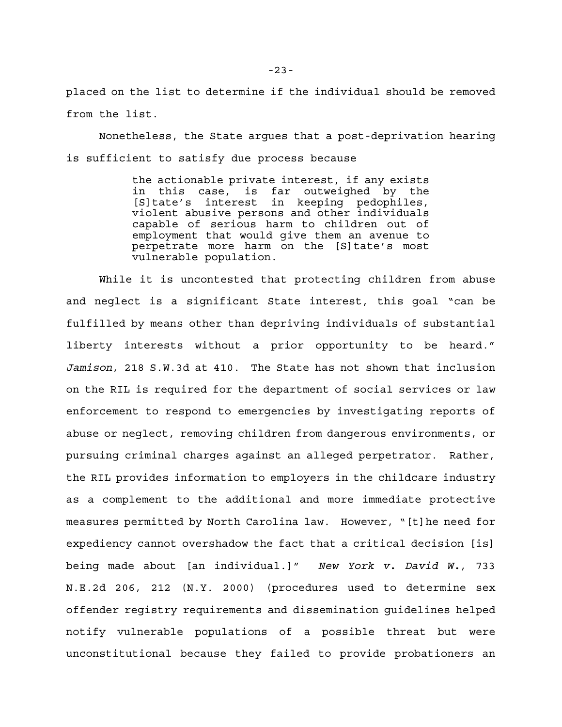placed on the list to determine if the individual should be removed from the list.

Nonetheless, the State argues that a post-deprivation hearing is sufficient to satisfy due process because

> the actionable private interest, if any exists in this case, is far outweighed by the [S]tate's interest in keeping pedophiles, violent abusive persons and other individuals capable of serious harm to children out of employment that would give them an avenue to perpetrate more harm on the [S]tate's most vulnerable population.

While it is uncontested that protecting children from abuse and neglect is a significant State interest, this goal "can be fulfilled by means other than depriving individuals of substantial liberty interests without a prior opportunity to be heard." *Jamison*, 218 S.W.3d at 410. The State has not shown that inclusion on the RIL is required for the department of social services or law enforcement to respond to emergencies by investigating reports of abuse or neglect, removing children from dangerous environments, or pursuing criminal charges against an alleged perpetrator. Rather, the RIL provides information to employers in the childcare industry as a complement to the additional and more immediate protective measures permitted by North Carolina law. However, "[t]he need for expediency cannot overshadow the fact that a critical decision [is] being made about [an individual.]" *New York v. David W.*, 733 N.E.2d 206, 212 (N.Y. 2000) (procedures used to determine sex offender registry requirements and dissemination guidelines helped notify vulnerable populations of a possible threat but were unconstitutional because they failed to provide probationers an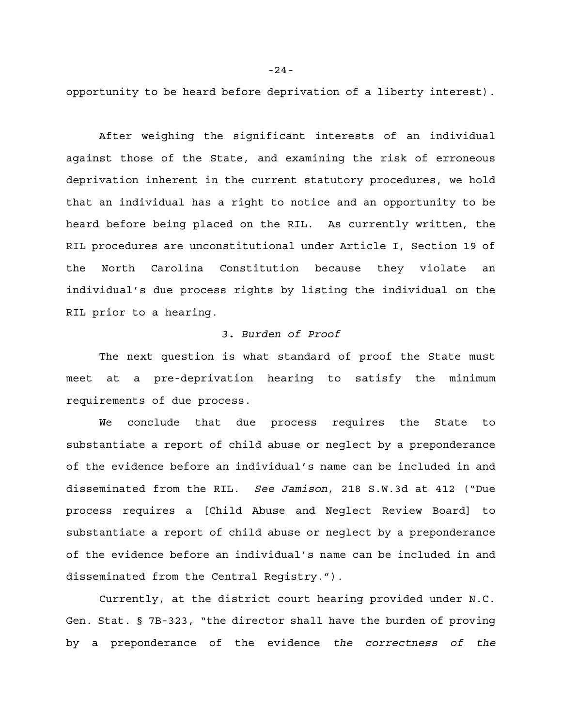opportunity to be heard before deprivation of a liberty interest).

After weighing the significant interests of an individual against those of the State, and examining the risk of erroneous deprivation inherent in the current statutory procedures, we hold that an individual has a right to notice and an opportunity to be heard before being placed on the RIL. As currently written, the RIL procedures are unconstitutional under Article I, Section 19 of the North Carolina Constitution because they violate an individual's due process rights by listing the individual on the RIL prior to a hearing.

# *3. Burden of Proof*

The next question is what standard of proof the State must meet at a pre-deprivation hearing to satisfy the minimum requirements of due process.

We conclude that due process requires the State to substantiate a report of child abuse or neglect by a preponderance of the evidence before an individual's name can be included in and disseminated from the RIL. *See Jamison*, 218 S.W.3d at 412 ("Due process requires a [Child Abuse and Neglect Review Board] to substantiate a report of child abuse or neglect by a preponderance of the evidence before an individual's name can be included in and disseminated from the Central Registry.").

Currently, at the district court hearing provided under N.C. Gen. Stat. § 7B-323, "the director shall have the burden of proving by a preponderance of the evidence *the correctness of the*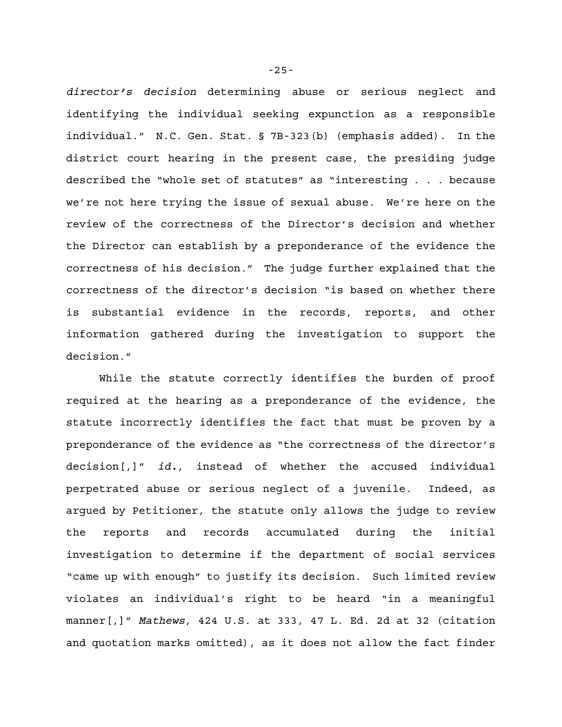*director's decision* determining abuse or serious neglect and identifying the individual seeking expunction as a responsible individual." N.C. Gen. Stat. § 7B-323(b) (emphasis added). In the district court hearing in the present case, the presiding judge described the "whole set of statutes" as "interesting . . . because we're not here trying the issue of sexual abuse. We're here on the review of the correctness of the Director's decision and whether the Director can establish by a preponderance of the evidence the correctness of his decision." The judge further explained that the correctness of the director's decision "is based on whether there is substantial evidence in the records, reports, and other information gathered during the investigation to support the decision."

While the statute correctly identifies the burden of proof required at the hearing as a preponderance of the evidence, the statute incorrectly identifies the fact that must be proven by a preponderance of the evidence as "the correctness of the director's decision[,]" *id.*, instead of whether the accused individual perpetrated abuse or serious neglect of a juvenile. Indeed, as argued by Petitioner, the statute only allows the judge to review the reports and records accumulated during the initial investigation to determine if the department of social services "came up with enough" to justify its decision. Such limited review violates an individual's right to be heard "in a meaningful manner[,]" *Mathews*, 424 U.S. at 333, 47 L. Ed. 2d at 32 (citation and quotation marks omitted), as it does not allow the fact finder

-25-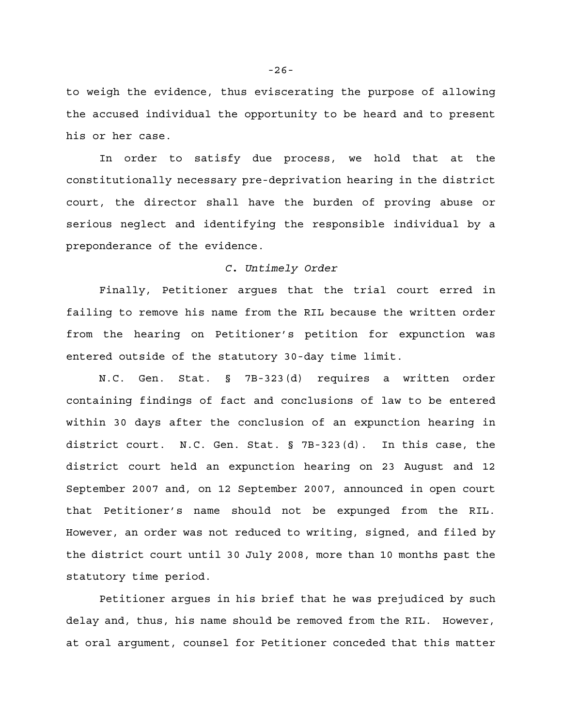to weigh the evidence, thus eviscerating the purpose of allowing the accused individual the opportunity to be heard and to present his or her case.

In order to satisfy due process, we hold that at the constitutionally necessary pre-deprivation hearing in the district court, the director shall have the burden of proving abuse or serious neglect and identifying the responsible individual by a preponderance of the evidence.

### *C. Untimely Order*

Finally, Petitioner argues that the trial court erred in failing to remove his name from the RIL because the written order from the hearing on Petitioner's petition for expunction was entered outside of the statutory 30-day time limit.

N.C. Gen. Stat. § 7B-323(d) requires a written order containing findings of fact and conclusions of law to be entered within 30 days after the conclusion of an expunction hearing in district court. N.C. Gen. Stat. § 7B-323(d). In this case, the district court held an expunction hearing on 23 August and 12 September 2007 and, on 12 September 2007, announced in open court that Petitioner's name should not be expunged from the RIL. However, an order was not reduced to writing, signed, and filed by the district court until 30 July 2008, more than 10 months past the statutory time period.

Petitioner argues in his brief that he was prejudiced by such delay and, thus, his name should be removed from the RIL. However, at oral argument, counsel for Petitioner conceded that this matter

-26-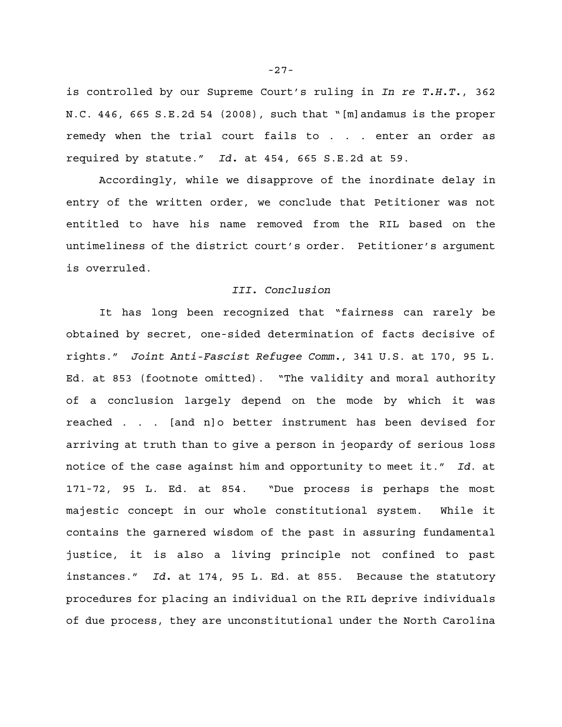is controlled by our Supreme Court's ruling in *In re T.H.T.*, 362 N.C. 446, 665 S.E.2d 54 (2008), such that "[m]andamus is the proper remedy when the trial court fails to . . . enter an order as required by statute." *Id.* at 454, 665 S.E.2d at 59.

Accordingly, while we disapprove of the inordinate delay in entry of the written order, we conclude that Petitioner was not entitled to have his name removed from the RIL based on the untimeliness of the district court's order. Petitioner's argument is overruled.

# *III. Conclusion*

It has long been recognized that "fairness can rarely be obtained by secret, one-sided determination of facts decisive of rights." *Joint Anti-Fascist Refugee Comm.*, 341 U.S. at 170, 95 L. Ed. at 853 (footnote omitted). "The validity and moral authority of a conclusion largely depend on the mode by which it was reached . . . [and n]o better instrument has been devised for arriving at truth than to give a person in jeopardy of serious loss notice of the case against him and opportunity to meet it." *Id*. at 171-72, 95 L. Ed. at 854. "Due process is perhaps the most majestic concept in our whole constitutional system. While it contains the garnered wisdom of the past in assuring fundamental justice, it is also a living principle not confined to past instances." *Id.* at 174, 95 L. Ed. at 855. Because the statutory procedures for placing an individual on the RIL deprive individuals of due process, they are unconstitutional under the North Carolina

-27-